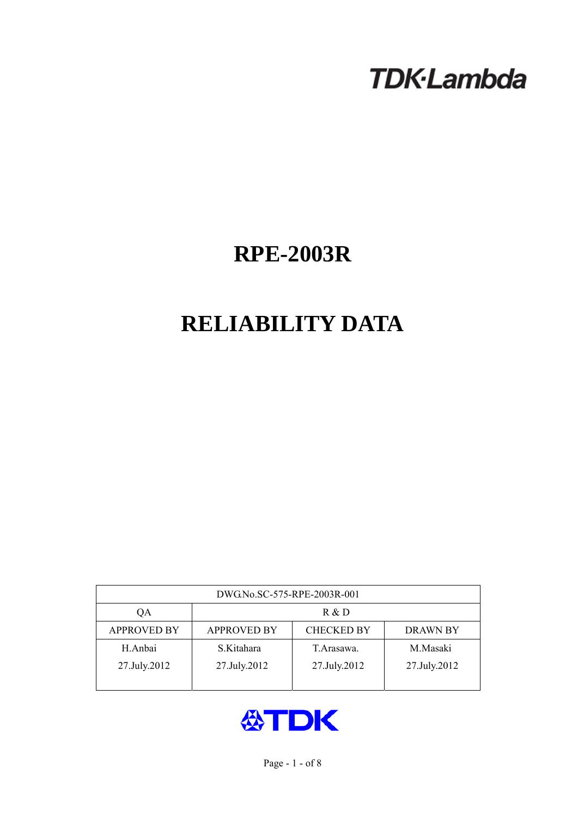# **TDK-Lambda**

## **RPE-2003R**

## **RELIABILITY DATA**

| DWG.No.SC-575-RPE-2003R-001 |                                                            |              |              |  |  |  |
|-----------------------------|------------------------------------------------------------|--------------|--------------|--|--|--|
| QA                          | R & D                                                      |              |              |  |  |  |
| <b>APPROVED BY</b>          | <b>CHECKED BY</b><br><b>APPROVED BY</b><br><b>DRAWN BY</b> |              |              |  |  |  |
| H.Anbai                     | S.Kitahara                                                 | T. Arasawa.  | M.Masaki     |  |  |  |
| 27.July.2012                | 27.July.2012                                               | 27.July.2012 | 27.July.2012 |  |  |  |
|                             |                                                            |              |              |  |  |  |

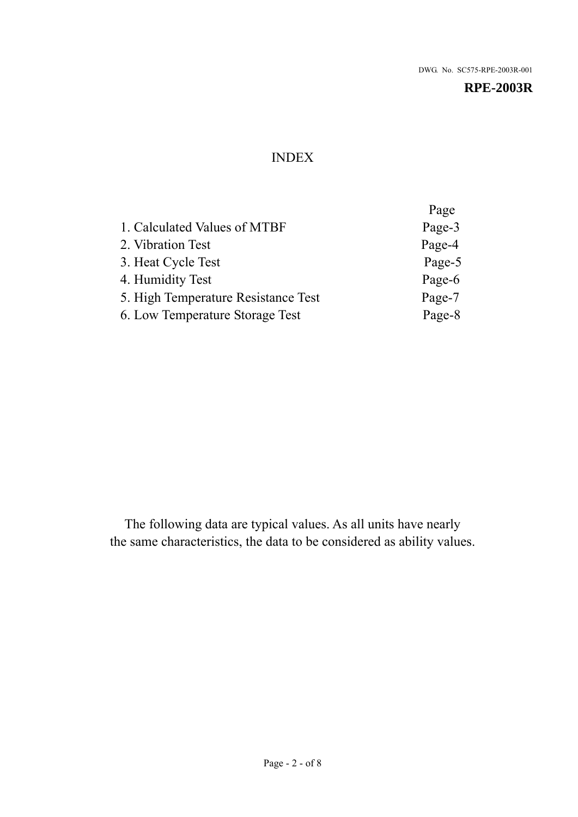## INDEX

|                                     | Page   |
|-------------------------------------|--------|
| 1. Calculated Values of MTBF        | Page-3 |
| 2. Vibration Test                   | Page-4 |
| 3. Heat Cycle Test                  | Page-5 |
| 4. Humidity Test                    | Page-6 |
| 5. High Temperature Resistance Test | Page-7 |
| 6. Low Temperature Storage Test     | Page-8 |
|                                     |        |

The following data are typical values. As all units have nearly the same characteristics, the data to be considered as ability values.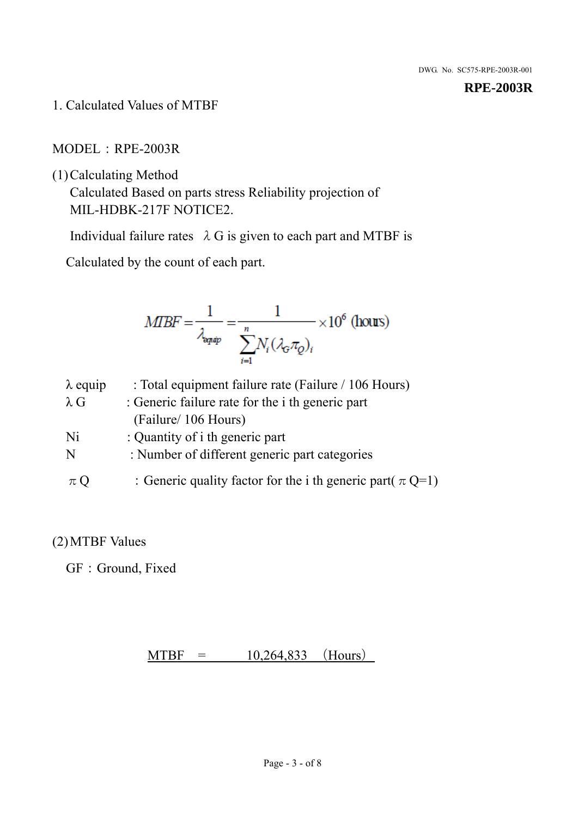1. Calculated Values of MTBF

MODEL:RPE-2003R

(1)Calculating Method

Calculated Based on parts stress Reliability projection of MIL-HDBK-217F NOTICE2.

Individual failure rates  $\lambda$  G is given to each part and MTBF is

Calculated by the count of each part.

$$
MIBF = \frac{1}{\lambda_{\text{expap}}} = \frac{1}{\sum_{i=1}^{n} N_i (\lambda_{\text{G}} \pi_Q)_i} \times 10^6 \text{ (hours)}
$$

| $\lambda$ equip | : Total equipment failure rate (Failure / 106 Hours)            |
|-----------------|-----------------------------------------------------------------|
| $\lambda$ G     | : Generic failure rate for the <i>i</i> th generic part         |
|                 | (Failure/ 106 Hours)                                            |
| Ni              | : Quantity of i th generic part                                 |
| N               | : Number of different generic part categories                   |
| $\pi$ Q         | : Generic quality factor for the i th generic part( $\pi Q=1$ ) |

## (2)MTBF Values

GF: Ground, Fixed

 $MTBF = 10,264,833$  (Hours)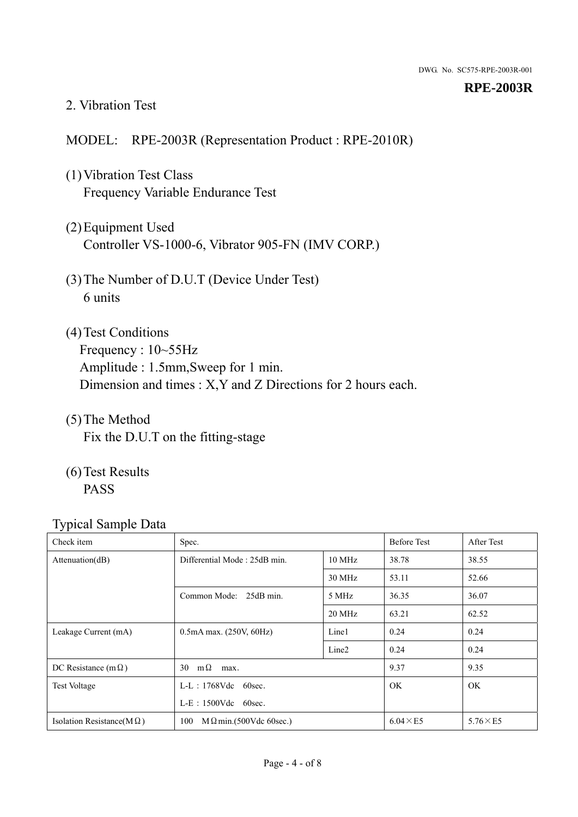#### 2. Vibration Test

#### MODEL: RPE-2003R (Representation Product : RPE-2010R)

- (1)Vibration Test Class Frequency Variable Endurance Test
- (2)Equipment Used Controller VS-1000-6, Vibrator 905-FN (IMV CORP.)
- (3)The Number of D.U.T (Device Under Test) 6 units
- (4) Test Conditions Frequency : 10~55Hz Amplitude : 1.5mm,Sweep for 1 min. Dimension and times : X,Y and Z Directions for 2 hours each.
- (5)The Method Fix the D.U.T on the fitting-stage
- (6)Test Results PASS

| Check item                        | Spec.                                            |                   | <b>Before Test</b> | After Test      |
|-----------------------------------|--------------------------------------------------|-------------------|--------------------|-----------------|
| Attenuation(dB)                   | Differential Mode: 25dB min.<br>$10 \text{ MHz}$ |                   | 38.78              | 38.55           |
|                                   |                                                  | 30 MHz            | 53.11              | 52.66           |
|                                   | Common Mode: 25dB min.<br>5 MHz                  |                   | 36.35              | 36.07           |
|                                   |                                                  | 20 MHz            | 63.21              | 62.52           |
| Leakage Current (mA)              | $0.5mA$ max. $(250V, 60Hz)$                      | Line1             | 0.24               | 0.24            |
|                                   |                                                  | Line <sub>2</sub> | 0.24               | 0.24            |
| DC Resistance (m $\Omega$ )       | $m\Omega$<br>30<br>max.                          |                   | 9.37               | 9.35            |
| Test Voltage                      | $L-L$ : 1768Vdc 60sec.                           |                   | OK.                | OK.             |
|                                   | $L-E$ : 1500Vdc 60sec.                           |                   |                    |                 |
| Isolation Resistance(M $\Omega$ ) | $M \Omega$ min.(500Vdc 60sec.)<br>100            |                   | $6.04 \times E5$   | $5.76\times E5$ |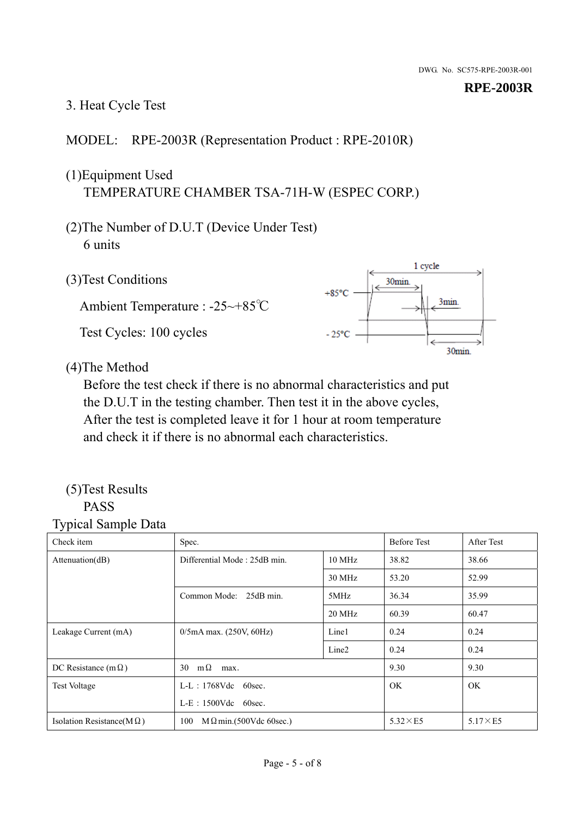### 3. Heat Cycle Test

#### MODEL: RPE-2003R (Representation Product : RPE-2010R)

## (1)Equipment Used TEMPERATURE CHAMBER TSA-71H-W (ESPEC CORP.)

- (2)The Number of D.U.T (Device Under Test) 6 units
- 1 cycle (3)Test Conditions 30<sub>min</sub>  $+85^{\circ}$ C 3min. Ambient Temperature : -25~+85℃ Test Cycles: 100 cycles  $-25^{\circ}$ C 30min.

(4)The Method

Before the test check if there is no abnormal characteristics and put the D.U.T in the testing chamber. Then test it in the above cycles, After the test is completed leave it for 1 hour at room temperature and check it if there is no abnormal each characteristics.

#### (5)Test Results PASS

| ┙┸<br>$\mathbf{I}$<br>Check item  | Spec.                                |                   | <b>Before Test</b> | After Test      |
|-----------------------------------|--------------------------------------|-------------------|--------------------|-----------------|
| Attention(dB)                     | Differential Mode: 25dB min.         | 10 MHz            | 38.82              | 38.66           |
|                                   |                                      | 30 MHz            | 53.20              | 52.99           |
|                                   | Common Mode: 25dB min.               | 5MHz              | 36.34              | 35.99           |
|                                   |                                      | 20 MHz            | 60.39              | 60.47           |
| Leakage Current (mA)              | $0/5$ mA max. (250V, 60Hz)           | Line1             | 0.24               | 0.24            |
|                                   |                                      | Line <sub>2</sub> | 0.24               | 0.24            |
| DC Resistance (m $\Omega$ )       | $m\Omega$<br>30<br>max.              |                   | 9.30               | 9.30            |
| <b>Test Voltage</b>               | $L-L$ : 1768Vdc 60sec.               |                   | OK.                | OK.             |
|                                   | $L-E$ : 1500Vdc 60sec.               |                   |                    |                 |
| Isolation Resistance(M $\Omega$ ) | 100<br>$M\Omega$ min.(500Vdc 60sec.) |                   | $5.32\times E5$    | $5.17\times E5$ |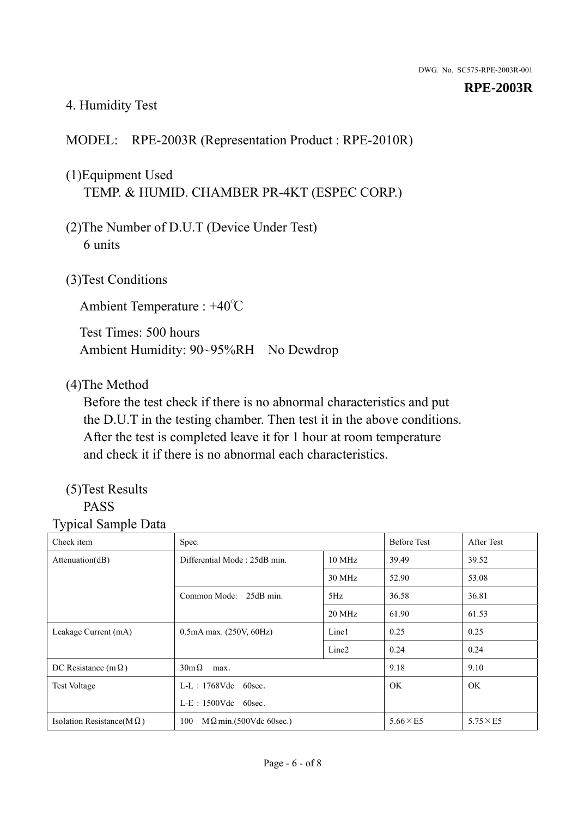#### 4. Humidity Test

#### MODEL: RPE-2003R (Representation Product : RPE-2010R)

## (1)Equipment Used TEMP. & HUMID. CHAMBER PR-4KT (ESPEC CORP.)

- (2)The Number of D.U.T (Device Under Test) 6 units
- (3)Test Conditions

Ambient Temperature : +40℃

Test Times: 500 hours Ambient Humidity: 90~95%RH No Dewdrop

#### (4)The Method

Before the test check if there is no abnormal characteristics and put the D.U.T in the testing chamber. Then test it in the above conditions. After the test is completed leave it for 1 hour at room temperature and check it if there is no abnormal each characteristics.

## (5)Test Results

## PASS

| ັ່<br>л.<br>Check item            | Spec.                                  |                   | <b>Before Test</b> | After Test      |
|-----------------------------------|----------------------------------------|-------------------|--------------------|-----------------|
| Attenuation(dB)                   | Differential Mode: 25dB min.<br>10 MHz |                   | 39.49              | 39.52           |
|                                   |                                        | 30 MHz            | 52.90              | 53.08           |
|                                   | Common Mode: 25dB min.                 | 5Hz               | 36.58              | 36.81           |
|                                   |                                        | 20 MHz            | 61.90              | 61.53           |
| Leakage Current (mA)              | $0.5mA$ max. $(250V, 60Hz)$            | Line1             | 0.25               | 0.25            |
|                                   |                                        | Line <sub>2</sub> | 0.24               | 0.24            |
| DC Resistance (m $\Omega$ )       | $30m\Omega$<br>max.                    |                   | 9.18               | 9.10            |
| <b>Test Voltage</b>               | $L-L$ : 1768Vdc 60sec.                 |                   | OK.                | OK.             |
|                                   | $L-E$ : 1500Vdc 60sec.                 |                   |                    |                 |
| Isolation Resistance(M $\Omega$ ) | $M \Omega$ min.(500Vdc 60sec.)<br>100  |                   | $5.66\times E5$    | $5.75\times E5$ |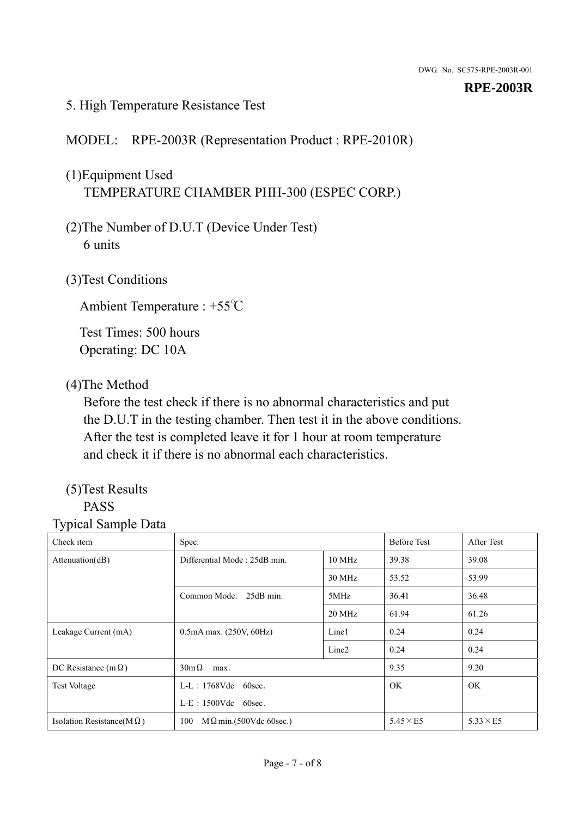#### 5. High Temperature Resistance Test

#### MODEL: RPE-2003R (Representation Product : RPE-2010R)

## (1)Equipment Used TEMPERATURE CHAMBER PHH-300 (ESPEC CORP.)

- (2)The Number of D.U.T (Device Under Test) 6 units
- (3)Test Conditions

Ambient Temperature : +55℃

Test Times: 500 hours Operating: DC 10A

#### (4)The Method

Before the test check if there is no abnormal characteristics and put the D.U.T in the testing chamber. Then test it in the above conditions. After the test is completed leave it for 1 hour at room temperature and check it if there is no abnormal each characteristics.

## (5)Test Results

## PASS

| . .<br>Check item                 | Spec.                                  |                   | <b>Before Test</b> | After Test      |
|-----------------------------------|----------------------------------------|-------------------|--------------------|-----------------|
| Attention(dB)                     | Differential Mode: 25dB min.<br>10 MHz |                   | 39.38              | 39.08           |
|                                   |                                        | 30 MHz            | 53.52              | 53.99           |
|                                   | Common Mode: 25dB min.                 | 5MHz              | 36.41              | 36.48           |
|                                   |                                        | 20 MHz            | 61.94              | 61.26           |
| Leakage Current (mA)              | $0.5mA$ max. $(250V, 60Hz)$            | Line1             | 0.24               | 0.24            |
|                                   |                                        | Line <sub>2</sub> | 0.24               | 0.24            |
| DC Resistance (m $\Omega$ )       | $30m\Omega$<br>max.                    |                   | 9.35               | 9.20            |
| <b>Test Voltage</b>               | $L-L$ : 1768Vdc 60sec.                 |                   | <b>OK</b>          | OK.             |
|                                   | $L-E$ : 1500Vdc 60sec.                 |                   |                    |                 |
| Isolation Resistance( $M\Omega$ ) | 100<br>$M \Omega$ min.(500Vdc 60sec.)  |                   | $5.45\times E5$    | $5.33\times E5$ |